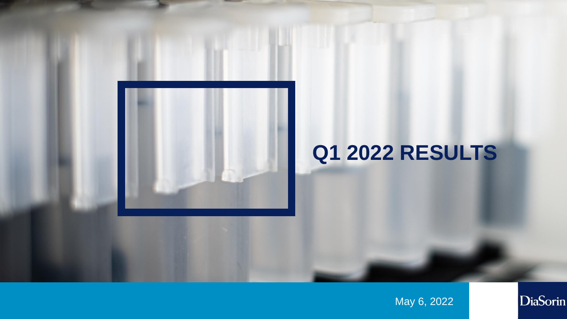

May 6, 2022

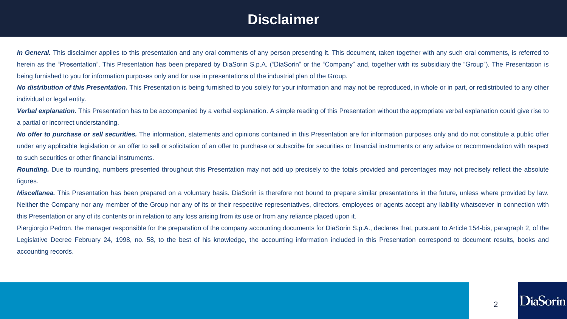# **Disclaimer**

In General. This disclaimer applies to this presentation and any oral comments of any person presenting it. This document, taken together with any such oral comments, is referred to herein as the "Presentation". This Presentation has been prepared by DiaSorin S.p.A. ("DiaSorin" or the "Company" and, together with its subsidiary the "Group"). The Presentation is being furnished to you for information purposes only and for use in presentations of the industrial plan of the Group.

**No distribution of this Presentation.** This Presentation is being furnished to you solely for your information and may not be reproduced, in whole or in part, or redistributed to any other individual or legal entity.

Verbal explanation. This Presentation has to be accompanied by a verbal explanation. A simple reading of this Presentation without the appropriate verbal explanation could give rise to a partial or incorrect understanding.

No offer to purchase or sell securities. The information, statements and opinions contained in this Presentation are for information purposes only and do not constitute a public offer under any applicable legislation or an offer to sell or solicitation of an offer to purchase or subscribe for securities or financial instruments or any advice or recommendation with respect to such securities or other financial instruments.

**Rounding.** Due to rounding, numbers presented throughout this Presentation may not add up precisely to the totals provided and percentages may not precisely reflect the absolute figures.

*Miscellanea*. This Presentation has been prepared on a voluntary basis. DiaSorin is therefore not bound to prepare similar presentations in the future, unless where provided by law. Neither the Company nor any member of the Group nor any of its or their respective representatives, directors, employees or agents accept any liability whatsoever in connection with this Presentation or any of its contents or in relation to any loss arising from its use or from any reliance placed upon it.

Piergiorgio Pedron, the manager responsible for the preparation of the company accounting documents for DiaSorin S.p.A., declares that, pursuant to Article 154-bis, paragraph 2, of the Legislative Decree February 24, 1998, no. 58, to the best of his knowledge, the accounting information included in this Presentation correspond to document results, books and accounting records.

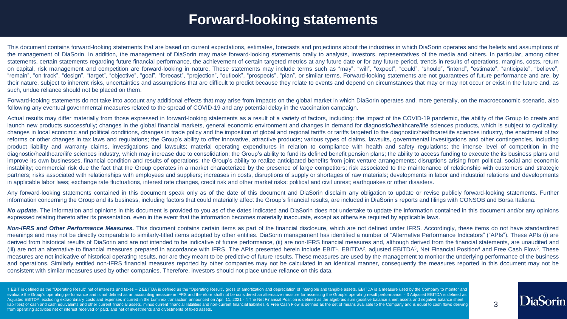## **Forward-looking statements**

This document contains forward-looking statements that are based on current expectations, estimates, forecasts and projections about the industries in which DiaSorin operates and the beliefs and assumptions of the management of DiaSorin. In addition, the management of DiaSorin may make forward-looking statements orally to analysts, investors, representatives of the media and others. In particular, among other statements, certain statements regarding future financial performance, the achievement of certain targeted metrics at any future date or for any future period, trends in results of operations, margins, costs, return on capital, risk management and competition are forward-looking in nature. These statements may include terms such as "may", "will", "expect", "could", "should", "intend", "estimate", "anticipate", "believe", "remain", "on track", "design", "target", "objective", "goal", "forecast", "projection", "outlook", "prospects", "plan", or similar terms. Forward-looking statements are not guarantees of future performance and are, by their nature, subject to inherent risks, uncertainties and assumptions that are difficult to predict because they relate to events and depend on circumstances that may or may not occur or exist in the future and, as such, undue reliance should not be placed on them.

Forward-looking statements do not take into account any additional effects that may arise from impacts on the global market in which DiaSorin operates and, more generally, on the macroeconomic scenario, also following any eventual governmental measures related to the spread of COVID-19 and any potential delay in the vaccination campaign.

Actual results may differ materially from those expressed in forward-looking statements as a result of a variety of factors, including: the impact of the COVID-19 pandemic, the ability of the Group to create and launch new products successfully; changes in the global financial markets, general economic environment and changes in demand for diagnostic/healthcare/life sciences products, which is subject to cyclicality; changes in local economic and political conditions, changes in trade policy and the imposition of global and regional tariffs or tariffs targeted to the diagnostic/healthcare/life sciences industry, the enactment of tax reforms or other changes in tax laws and regulations; the Group's ability to offer innovative, attractive products; various types of claims, lawsuits, governmental investigations and other contingencies, including product liability and warranty claims, investigations and lawsuits; material operating expenditures in relation to compliance with health and safety regulations; the intense level of competition in the diagnostic/healthcare/life sciences industry, which may increase due to consolidation; the Group's ability to fund its defined benefit pension plans; the ability to access funding to execute the its business plans and improve its own businesses, financial condition and results of operations; the Group's ability to realize anticipated benefits from joint venture arrangements; disruptions arising from political, social and economic instability; commercial risk due the fact that the Group operates in a market characterized by the presence of large competitors; risk associated to the maintenance of relationship with customers and strategic partners; risks associated with relationships with employees and suppliers; increases in costs, disruptions of supply or shortages of raw materials; developments in labor and industrial relations and developments in applicable labor laws; exchange rate fluctuations, interest rate changes, credit risk and other market risks; political and civil unrest; earthquakes or other disasters.

Any forward-looking statements contained in this document speak only as of the date of this document and DiaSorin disclaim any obligation to update or revise publicly forward-looking statements. Further information concerning the Group and its business, including factors that could materially affect the Group's financial results, are included in DiaSorin's reports and filings with CONSOB and Borsa Italiana.

No update. The information and opinions in this document is provided to you as of the dates indicated and DiaSorin does not undertake to update the information contained in this document and/or any opinions expressed relating thereto after its presentation, even in the event that the information becomes materially inaccurate, except as otherwise required by applicable laws.

Non-IFRS and Other Performance Measures. This document contains certain items as part of the financial disclosure, which are not defined under IFRS. Accordingly, these items do not have standardized meanings and may not be directly comparable to similarly-titled items adopted by other entities. DiaSorin management has identified a number of "Alternative Performance Indicators" ("APIs"). These APIs (i) are derived from historical results of DiaSorin and are not intended to be indicative of future performance, (ii) are non-IFRS financial measures and, although derived from the financial statements, are unaudited and (iii) are not an alternative to financial measures prepared in accordance with IFRS. The APIs presented herein include EBIT<sup>1</sup>, EBITDA<sup>2</sup>, adjusted EBITDA<sup>3</sup>, Net Financial Position<sup>4</sup> and Free Cash Flow<sup>5</sup>. These measures are not indicative of historical operating results, nor are they meant to be predictive of future results. These measures are used by the management to monitor the underlying performance of the business and operations. Similarly entitled non-IFRS financial measures reported by other companies may not be calculated in an identical manner, consequently the measures reported in this document may not be consistent with similar measures used by other companies. Therefore, investors should not place undue reliance on this data.

1 EBIT is defined as the "Operating Result" net of interests and taxes - 2 EBITDA is defined as the "Operating Result", gross of amortization and depreciation of intangible and tangible and tangible assets. EBITDA is a mea evaluate the Group's operating performance and is not defined as an accounting measure in IFRS and therefore shall not be considered an alternative measure for assessing the Group's operating result performance. - 3 Adjust Adjusted EBITDA, excluding extraordinary costs and expenses incurred in the Luminex transaction announced on April 11, 2021 - 4 The Net Financial Position is defined as the algebraic sum (positive balance sheet assets and liabilities) of cash and cash equivalents and other current financial assets, minus current financial liabilities and non-current financial liabilities.-5 Free Cash Flow is defined as the set of means available to the Comp from operating activities net of interest received or paid, and net of investments and divestments of fixed assets.

3

l )iaSorin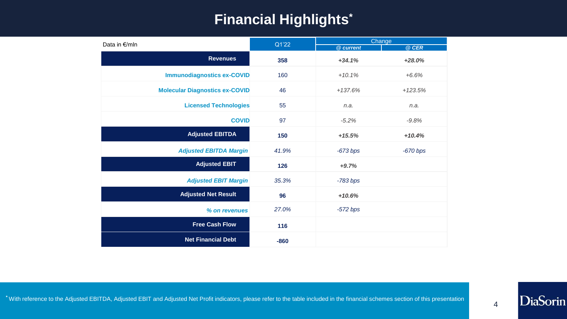# **Financial Highlights\***

| Data in €/mln                         | Q1'22  | Change<br>@ current |            |  |  |
|---------------------------------------|--------|---------------------|------------|--|--|
|                                       |        |                     | @ CER      |  |  |
| <b>Revenues</b>                       | 358    | $+34.1%$            | $+28.0%$   |  |  |
| <b>Immunodiagnostics ex-COVID</b>     | 160    | $+10.1%$            | $+6.6%$    |  |  |
| <b>Molecular Diagnostics ex-COVID</b> | 46     | $+137.6%$           | $+123.5%$  |  |  |
| <b>Licensed Technologies</b>          | 55     | n.a.                | n.a.       |  |  |
| <b>COVID</b>                          | 97     | $-5.2%$             | $-9.8%$    |  |  |
| <b>Adjusted EBITDA</b>                | 150    | $+15.5%$            | $+10.4%$   |  |  |
| <b>Adjusted EBITDA Margin</b>         | 41.9%  | $-673 bps$          | $-670$ bps |  |  |
| <b>Adjusted EBIT</b>                  | 126    | $+9.7%$             |            |  |  |
| <b>Adjusted EBIT Margin</b>           | 35.3%  | $-783$ bps          |            |  |  |
| <b>Adjusted Net Result</b>            | 96     | $+10.6%$            |            |  |  |
| % on revenues                         | 27.0%  | $-572 bps$          |            |  |  |
| <b>Free Cash Flow</b>                 | 116    |                     |            |  |  |
| <b>Net Financial Debt</b>             | $-860$ |                     |            |  |  |

4

DiaSorin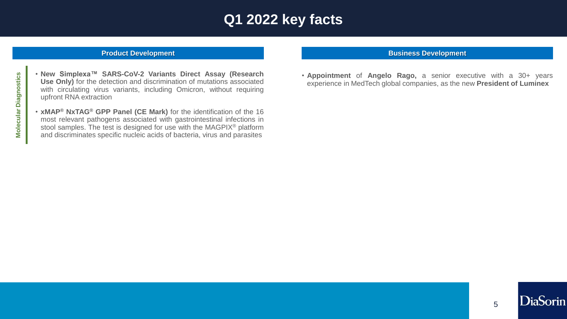# **Q1 2022 key facts**

#### **Product Development**

- **New Simplexa™ SARS-CoV-2 Variants Direct Assay (Research Use Only)** for the detection and discrimination of mutations associated with circulating virus variants, including Omicron, without requiring upfront RNA extraction
- **xMAP® NxTAG® GPP Panel (CE Mark)** for the identification of the 16 most relevant pathogens associated with gastrointestinal infections in stool samples. The test is designed for use with the MAGPIX® platform and discriminates specific nucleic acids of bacteria, virus and parasites

#### **Business Development**

• **Appointment** of **Angelo Rago,** a senior executive with a 30+ years experience in MedTech global companies, as the new **President of Luminex**

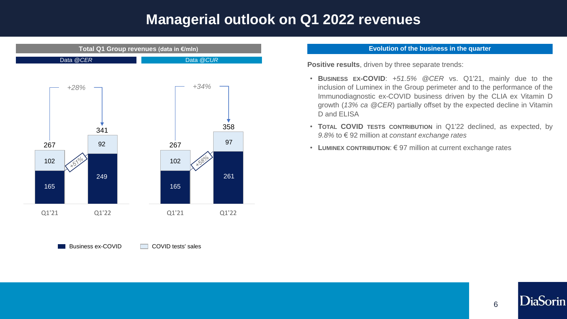### **Managerial outlook on Q1 2022 revenues**



Business ex-COVID COVID tests' sales

#### **Evolution of the business in the quarter**

**Positive results**, driven by three separate trends:

- **BUSINESS EX-COVID**: *+51.5% @CER* vs. Q1'21, mainly due to the inclusion of Luminex in the Group perimeter and to the performance of the Immunodiagnostic ex-COVID business driven by the CLIA ex Vitamin D growth (*13% ca @CER*) partially offset by the expected decline in Vitamin D and ELISA
- **TOTAL COVID TESTS CONTRIBUTION** in Q1'22 declined, as expected, by *9.8%* to € 92 million at *constant exchange rates*
- **LUMINEX CONTRIBUTION**: € 97 million at current exchange rates

DiaSorin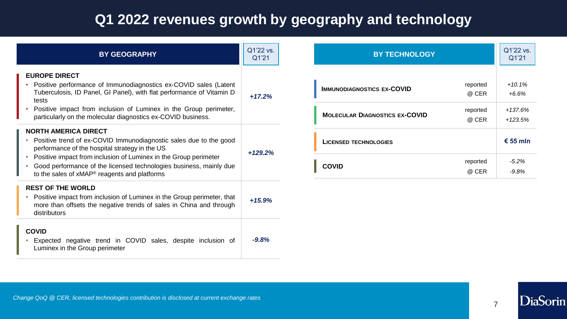# **Q1 2022 revenues growth by geography and technology**

| <b>BY GEOGRAPHY</b>                                                                                                                                                                                    | Q1'22 vs.<br>Q1'21 | <b>BY TECHNOLOGY</b>                                       | Q1'22 vs.<br>Q1'21   |
|--------------------------------------------------------------------------------------------------------------------------------------------------------------------------------------------------------|--------------------|------------------------------------------------------------|----------------------|
| <b>EUROPE DIRECT</b><br>Positive performance of Immunodiagnostics ex-COVID sales (Latent<br>Tuberculosis, ID Panel, GI Panel), with flat performance of Vitamin D<br>tests                             | $+17.2%$           | reported<br><b>IMMUNODIAGNOSTICS EX-COVID</b><br>@ CER     | $+10.1%$<br>$+6.6%$  |
| Positive impact from inclusion of Luminex in the Group perimeter,<br>particularly on the molecular diagnostics ex-COVID business.                                                                      |                    | reported<br><b>MOLECULAR DIAGNOSTICS EX-COVID</b><br>@ CER | +137.6%<br>$+123.5%$ |
| <b>NORTH AMERICA DIRECT</b><br>Positive trend of ex-COVID Immunodiagnostic sales due to the good<br>performance of the hospital strategy in the US                                                     | $+129.2%$          | <b>LICENSED TECHNOLOGIES</b>                               | € 55 mln             |
| Positive impact from inclusion of Luminex in the Group perimeter<br>Good performance of the licensed technologies business, mainly due<br>to the sales of xMAP <sup>®</sup> reagents and platforms     |                    | reported<br><b>COVID</b><br>@ CER                          | $-5.2%$<br>$-9.8%$   |
| <b>REST OF THE WORLD</b><br>Positive impact from inclusion of Luminex in the Group perimeter, that<br>$\bullet$<br>more than offsets the negative trends of sales in China and through<br>distributors | $+15.9%$           |                                                            |                      |
| <b>COVID</b><br>Expected negative trend in COVID sales, despite inclusion of<br>Luminex in the Group perimeter                                                                                         | $-9.8%$            |                                                            |                      |

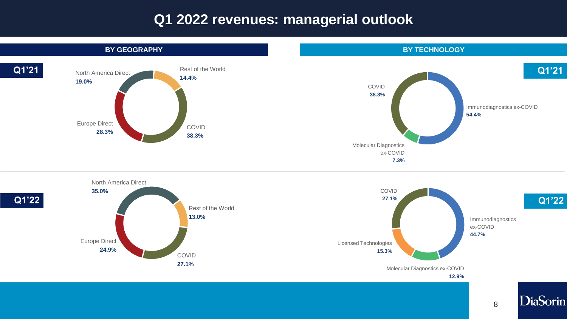### **Q1 2022 revenues: managerial outlook**







**12.9%**

8

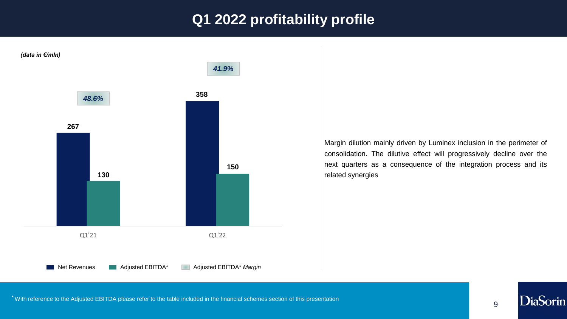# **Q1 2022 profitability profile**





DiaSorin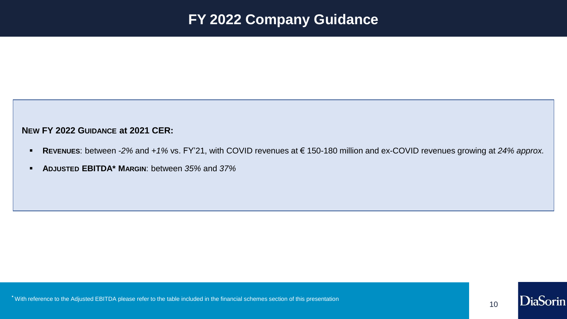## **FY 2022 Company Guidance**

#### **NEW FY 2022 GUIDANCE at 2021 CER:**

- **REVENUES**: between *-2%* and *+1%* vs. FY'21, with COVID revenues at € 150-180 million and ex-COVID revenues growing at *24% approx.*
- **ADJUSTED EBITDA\* MARGIN**: between *35%* and *37%*

**\*** With reference to the Adjusted EBITDA please refer to the table included in the financial schemes section of this presentation

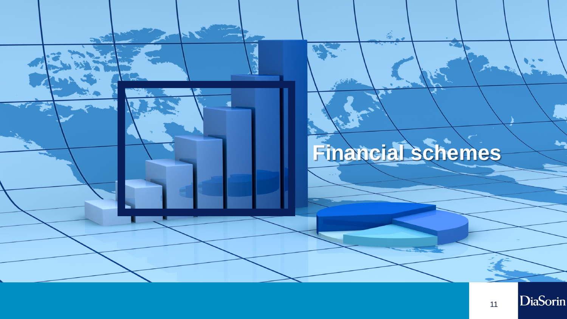

11

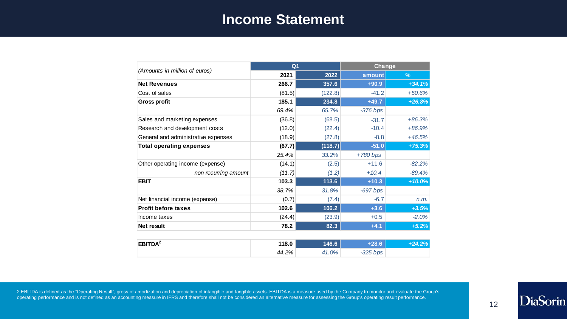#### **Income Statement**

|                                     | Q <sub>1</sub> |         | Change     |          |  |
|-------------------------------------|----------------|---------|------------|----------|--|
| (Amounts in million of euros)       | 2021           | 2022    | amount     | %        |  |
| <b>Net Revenues</b>                 | 266.7          | 357.6   | $+90.9$    | $+34.1%$ |  |
| Cost of sales                       | (81.5)         | (122.8) | $-41.2$    | $+50.6%$ |  |
| <b>Gross profit</b>                 | 185.1          | 234.8   | $+49.7$    | $+26.8%$ |  |
|                                     | 69.4%          | 65.7%   | $-376 bps$ |          |  |
| Sales and marketing expenses        | (36.8)         | (68.5)  | $-31.7$    | $+86.3%$ |  |
| Research and development costs      | (12.0)         | (22.4)  | $-10.4$    | $+86.9%$ |  |
| General and administrative expenses | (18.9)         | (27.8)  | $-8.8$     | $+46.5%$ |  |
| <b>Total operating expenses</b>     | (67.7)         | (118.7) | $-51.0$    | $+75.3%$ |  |
|                                     | 25.4%          | 33.2%   | $+780$ bps |          |  |
| Other operating income (expense)    | (14.1)         | (2.5)   | $+11.6$    | $-82.2%$ |  |
| non recurring amount                | (11.7)         | (1.2)   | $+10.4$    | $-89.4%$ |  |
| <b>EBIT</b>                         | 103.3          | 113.6   | $+10.3$    | $+10.0%$ |  |
|                                     | 38.7%          | 31.8%   | $-697$ bps |          |  |
| Net financial income (expense)      | (0.7)          | (7.4)   | $-6.7$     | n.m.     |  |
| <b>Profit before taxes</b>          | 102.6          | 106.2   | $+3.6$     | $+3.5%$  |  |
| Income taxes                        | (24.4)         | (23.9)  | $+0.5$     | $-2.0%$  |  |
| Net result                          | 78.2           | 82.3    | $+4.1$     | $+5.2%$  |  |
|                                     |                |         |            |          |  |
| EBITDA <sup>2</sup>                 | 118.0          | 146.6   | $+28.6$    | $+24.2%$ |  |
|                                     | 44.2%          | 41.0%   | $-325$ bps |          |  |

2 EBITDA is defined as the "Operating Result", gross of amortization and depreciation of intangible and tangible assets. EBITDA is a measure used by the Company to monitor and evaluate the Group's operating performance and is not defined as an accounting measure in IFRS and therefore shall not be considered an alternative measure for assessing the Group's operating result performance.

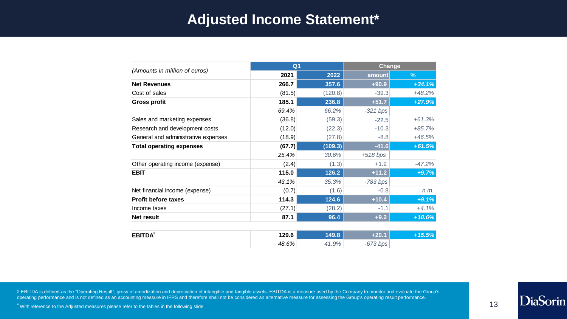#### **Adjusted Income Statement\***

|                                     | Q <sub>1</sub> |         | Change     |          |  |
|-------------------------------------|----------------|---------|------------|----------|--|
| (Amounts in million of euros)       | 2021           | 2022    | amount     | $\%$     |  |
| <b>Net Revenues</b>                 | 266.7          | 357.6   | $+90.9$    | $+34.1%$ |  |
| Cost of sales                       | (81.5)         | (120.8) | $-39.3$    | $+48.2%$ |  |
| <b>Gross profit</b>                 | 185.1          | 236.8   | $+51.7$    | $+27.9%$ |  |
|                                     | 69.4%          | 66.2%   | $-321$ bps |          |  |
| Sales and marketing expenses        | (36.8)         | (59.3)  | $-22.5$    | $+61.3%$ |  |
| Research and development costs      | (12.0)         | (22.3)  | $-10.3$    | $+85.7%$ |  |
| General and administrative expenses | (18.9)         | (27.8)  | $-8.8$     | $+46.5%$ |  |
| <b>Total operating expenses</b>     | (67.7)         | (109.3) | $-41.6$    | $+61.5%$ |  |
|                                     | 25.4%          | 30.6%   | $+518$ bps |          |  |
| Other operating income (expense)    | (2.4)          | (1.3)   | $+1.2$     | $-47.2%$ |  |
| <b>EBIT</b>                         | 115.0          | 126.2   | $+11.2$    | $+9.7%$  |  |
|                                     | 43.1%          | 35.3%   | $-783$ bps |          |  |
| Net financial income (expense)      | (0.7)          | (1.6)   | $-0.8$     | n.m.     |  |
| <b>Profit before taxes</b>          | 114.3          | 124.6   | $+10.4$    | $+9.1%$  |  |
| Income taxes                        | (27.1)         | (28.2)  | $-1.1$     | $+4.1%$  |  |
| <b>Net result</b>                   | 87.1           | 96.4    | $+9.2$     | $+10.6%$ |  |
|                                     |                |         |            |          |  |
| EBITDA <sup>2</sup>                 | 129.6          | 149.8   | $+20.1$    | $+15.5%$ |  |
|                                     | 48.6%          | 41.9%   | $-673$ bps |          |  |

2 EBITDA is defined as the "Operating Result", gross of amortization and depreciation of intangible and tangible assets. EBITDA is a measure used by the Company to monitor and evaluate the Group's operating performance and is not defined as an accounting measure in IFRS and therefore shall not be considered an alternative measure for assessing the Group's operating result performance.

**\*** With reference to the Adjusted measures please refer to the tables in the following slide

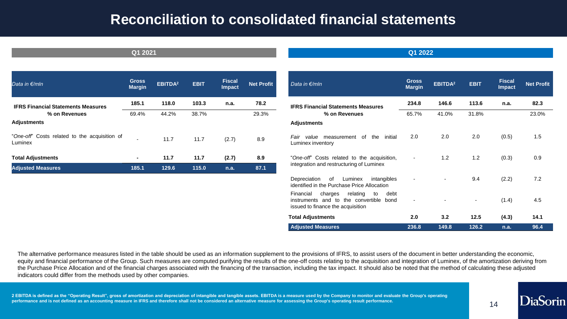#### **Reconciliation to consolidated financial statements**

| Data in €/mln                                            | <b>Gross</b><br><b>Margin</b> | EBITDA <sup>2</sup> | <b>EBIT</b> | <b>Fiscal</b><br><b>Impact</b> | <b>Net Profit</b> |
|----------------------------------------------------------|-------------------------------|---------------------|-------------|--------------------------------|-------------------|
| <b>IFRS Financial Statements Measures</b>                | 185.1                         | 118.0               | 103.3       | n.a.                           | 78.2              |
| % on Revenues                                            | 69.4%                         | 44.2%               | 38.7%       |                                | 29.3%             |
| <b>Adjustments</b>                                       |                               |                     |             |                                |                   |
| "One-off" Costs related to the acquisition of<br>Luminex |                               | 11.7                | 11.7        | (2.7)                          | 8.9               |
| <b>Total Adjustments</b>                                 | ۰                             | 11.7                | 11.7        | (2.7)                          | 8.9               |
| <b>Adjusted Measures</b>                                 | 185.1                         | 129.6               | 115.0       | n.a.                           | 87.1              |

| Data in €/mln                                                                                                                     | <b>Gross</b><br><b>Margin</b> | EBITDA <sup>2</sup> | <b>EBIT</b> | <b>Fiscal</b><br><b>Impact</b> | <b>Net Profit</b> |
|-----------------------------------------------------------------------------------------------------------------------------------|-------------------------------|---------------------|-------------|--------------------------------|-------------------|
| <b>IFRS Financial Statements Measures</b>                                                                                         | 234.8                         | 146.6               | 113.6       | n.a.                           | 82.3              |
| % on Revenues                                                                                                                     | 65.7%                         | 41.0%               | 31.8%       |                                | 23.0%             |
| <b>Adjustments</b>                                                                                                                |                               |                     |             |                                |                   |
| <i>Fair value</i> measurement of<br>the<br>initial<br>Luminex inventory                                                           | 2.0                           | 2.0                 | 2.0         | (0.5)                          | 1.5               |
| "One-off" Costs related to the acquisition,<br>integration and restructuring of Luminex                                           |                               | 1.2                 | 1.2         | (0.3)                          | 0.9               |
| Depreciation<br>of<br>Luminex<br>intangibles<br>identified in the Purchase Price Allocation                                       |                               |                     | 9.4         | (2.2)                          | 7.2               |
| relating<br>Financial<br>charges<br>debt<br>to<br>instruments and to the convertible<br>bond<br>issued to finance the acquisition |                               |                     |             | (1.4)                          | 4.5               |
| <b>Total Adjustments</b>                                                                                                          | 2.0                           | 3.2                 | 12.5        | (4.3)                          | 14.1              |
| <b>Adjusted Measures</b>                                                                                                          | 236.8                         | 149.8               | 126.2       | n.a.                           | 96.4              |

The alternative performance measures listed in the table should be used as an information supplement to the provisions of IFRS, to assist users of the document in better understanding the economic, equity and financial performance of the Group. Such measures are computed purifying the results of the one-off costs relating to the acquisition and integration of Luminex, of the amortization deriving from the Purchase Price Allocation and of the financial charges associated with the financing of the transaction, including the tax impact. It should also be noted that the method of calculating these adjusted indicators could differ from the methods used by other companies.

**2 EBITDA is defined as the "Operating Result", gross of amortization and depreciation of intangible and tangible assets. EBITDA is a measure used by the Company to monitor and evaluate the Group's operating performance and is not defined as an accounting measure in IFRS and therefore shall not be considered an alternative measure for assessing the Group's operating result performance.**

14

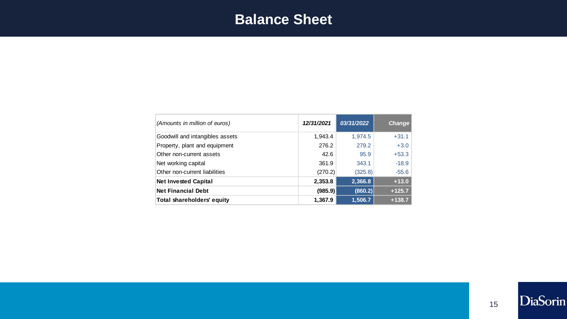# **Balance Sheet**

| (Amounts in million of euros)   | 12/31/2021 | 03/31/2022 | <b>Change</b> |
|---------------------------------|------------|------------|---------------|
| Goodwill and intangibles assets | 1,943.4    | 1,974.5    | $+31.1$       |
| Property, plant and equipment   | 276.2      | 279.2      | $+3.0$        |
| Other non-current assets        | 42.6       | 95.9       | $+53.3$       |
| Net working capital             | 361.9      | 343.1      | $-18.9$       |
| Other non-current liabilities   | (270.2)    | (325.8)    | $-55.6$       |
| <b>Net Invested Capital</b>     | 2,353.8    | 2,366.8    | $+13.0$       |
| <b>Net Financial Debt</b>       | (985.9)    | (860.2)    | $+125.7$      |
| Total shareholders' equity      | 1,367.9    | 1,506.7    | $+138.7$      |

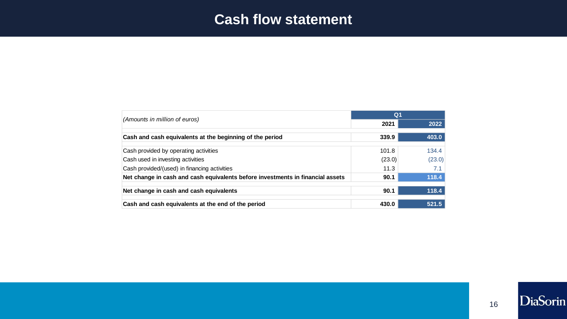## **Cash flow statement**

|                                                                                | Q <sub>1</sub> |        |  |
|--------------------------------------------------------------------------------|----------------|--------|--|
| (Amounts in million of euros)                                                  | 2021           | 2022   |  |
| Cash and cash equivalents at the beginning of the period                       | 339.9          | 403.0  |  |
| Cash provided by operating activities                                          | 101.8          | 134.4  |  |
| Cash used in investing activities                                              | (23.0)         | (23.0) |  |
| Cash provided/(used) in financing activities                                   | 11.3           | 7.1    |  |
| Net change in cash and cash equivalents before investments in financial assets | 90.1           | 118.4  |  |
| Net change in cash and cash equivalents                                        | 90.1           | 118.4  |  |
| Cash and cash equivalents at the end of the period                             | 430.0          | 521.5  |  |